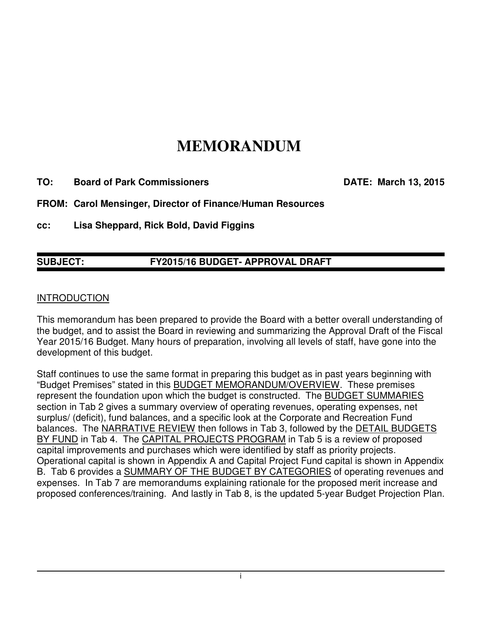# **MEMORANDUM**

**TO: Board of Park Commissioners DATE: March 13, 2015** 

**FROM: Carol Mensinger, Director of Finance/Human Resources** 

**cc: Lisa Sheppard, Rick Bold, David Figgins** 

## **SUBJECT: FY2015/16 BUDGET- APPROVAL DRAFT**

#### **INTRODUCTION**

This memorandum has been prepared to provide the Board with a better overall understanding of the budget, and to assist the Board in reviewing and summarizing the Approval Draft of the Fiscal Year 2015/16 Budget. Many hours of preparation, involving all levels of staff, have gone into the development of this budget.

Staff continues to use the same format in preparing this budget as in past years beginning with "Budget Premises" stated in this BUDGET MEMORANDUM/OVERVIEW. These premises represent the foundation upon which the budget is constructed. The BUDGET SUMMARIES section in Tab 2 gives a summary overview of operating revenues, operating expenses, net surplus/ (deficit), fund balances, and a specific look at the Corporate and Recreation Fund balances. The NARRATIVE REVIEW then follows in Tab 3, followed by the DETAIL BUDGETS BY FUND in Tab 4. The CAPITAL PROJECTS PROGRAM in Tab 5 is a review of proposed capital improvements and purchases which were identified by staff as priority projects. Operational capital is shown in Appendix A and Capital Project Fund capital is shown in Appendix B. Tab 6 provides a SUMMARY OF THE BUDGET BY CATEGORIES of operating revenues and expenses. In Tab 7 are memorandums explaining rationale for the proposed merit increase and proposed conferences/training. And lastly in Tab 8, is the updated 5-year Budget Projection Plan.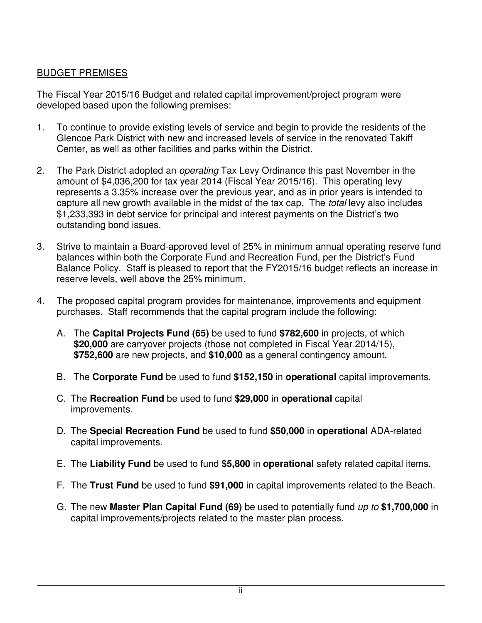## BUDGET PREMISES

The Fiscal Year 2015/16 Budget and related capital improvement/project program were developed based upon the following premises:

- 1. To continue to provide existing levels of service and begin to provide the residents of the Glencoe Park District with new and increased levels of service in the renovated Takiff Center, as well as other facilities and parks within the District.
- 2. The Park District adopted an *operating* Tax Levy Ordinance this past November in the amount of \$4,036,200 for tax year 2014 (Fiscal Year 2015/16). This operating levy represents a 3.35% increase over the previous year, and as in prior years is intended to capture all new growth available in the midst of the tax cap. The total levy also includes \$1,233,393 in debt service for principal and interest payments on the District's two outstanding bond issues.
- 3. Strive to maintain a Board-approved level of 25% in minimum annual operating reserve fund balances within both the Corporate Fund and Recreation Fund, per the District's Fund Balance Policy. Staff is pleased to report that the FY2015/16 budget reflects an increase in reserve levels, well above the 25% minimum.
- 4. The proposed capital program provides for maintenance, improvements and equipment purchases. Staff recommends that the capital program include the following:
	- A. The **Capital Projects Fund (65)** be used to fund **\$782,600** in projects, of which **\$20,000** are carryover projects (those not completed in Fiscal Year 2014/15), **\$752,600** are new projects, and **\$10,000** as a general contingency amount.
	- B. The **Corporate Fund** be used to fund **\$152,150** in **operational** capital improvements.
	- C. The **Recreation Fund** be used to fund **\$29,000** in **operational** capital improvements.
	- D. The **Special Recreation Fund** be used to fund **\$50,000** in **operational** ADA-related capital improvements.
	- E. The **Liability Fund** be used to fund **\$5,800** in **operational** safety related capital items.
	- F. The **Trust Fund** be used to fund **\$91,000** in capital improvements related to the Beach.
	- G. The new **Master Plan Capital Fund (69)** be used to potentially fund up to **\$1,700,000** in capital improvements/projects related to the master plan process.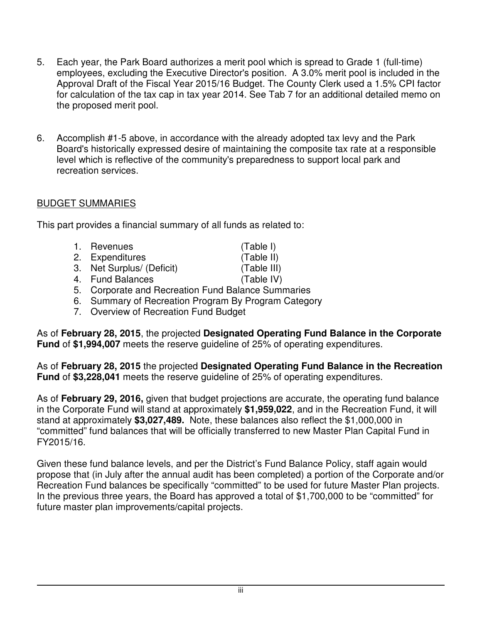- 5. Each year, the Park Board authorizes a merit pool which is spread to Grade 1 (full-time) employees, excluding the Executive Director's position. A 3.0% merit pool is included in the Approval Draft of the Fiscal Year 2015/16 Budget. The County Clerk used a 1.5% CPI factor for calculation of the tax cap in tax year 2014. See Tab 7 for an additional detailed memo on the proposed merit pool.
- 6. Accomplish #1-5 above, in accordance with the already adopted tax levy and the Park Board's historically expressed desire of maintaining the composite tax rate at a responsible level which is reflective of the community's preparedness to support local park and recreation services.

#### BUDGET SUMMARIES

This part provides a financial summary of all funds as related to:

| 1. Revenues                                  | (Table I)   |
|----------------------------------------------|-------------|
| 2. Expenditures                              | (Table II)  |
| 3. Net Surplus/ (Deficit)                    | (Table III) |
| 4. Fund Balances                             | (Table IV)  |
| 5 Corporato and Poercation Fund Polance Sumr |             |

- 5. Corporate and Recreation Fund Balance Summaries
- 6. Summary of Recreation Program By Program Category
- 7. Overview of Recreation Fund Budget

As of **February 28, 2015**, the projected **Designated Operating Fund Balance in the Corporate Fund** of **\$1,994,007** meets the reserve guideline of 25% of operating expenditures.

As of **February 28, 2015** the projected **Designated Operating Fund Balance in the Recreation Fund** of **\$3,228,041** meets the reserve guideline of 25% of operating expenditures.

As of **February 29, 2016,** given that budget projections are accurate, the operating fund balance in the Corporate Fund will stand at approximately **\$1,959,022**, and in the Recreation Fund, it will stand at approximately **\$3,027,489.** Note, these balances also reflect the \$1,000,000 in "committed" fund balances that will be officially transferred to new Master Plan Capital Fund in FY2015/16.

Given these fund balance levels, and per the District's Fund Balance Policy, staff again would propose that (in July after the annual audit has been completed) a portion of the Corporate and/or Recreation Fund balances be specifically "committed" to be used for future Master Plan projects. In the previous three years, the Board has approved a total of \$1,700,000 to be "committed" for future master plan improvements/capital projects.